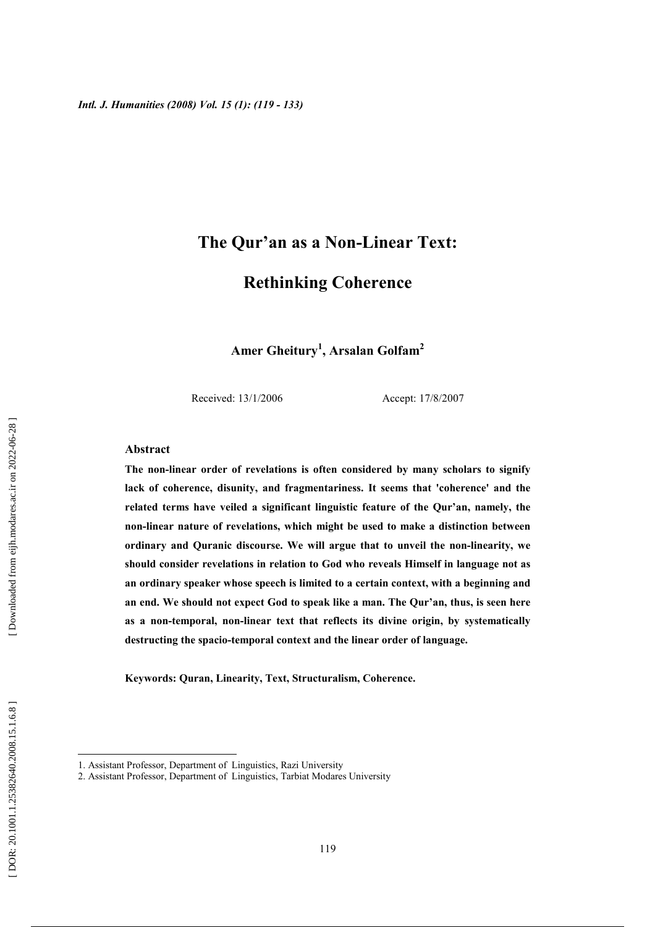# The Qur'an as a Non-Linear Text:

# **Rethinking Coherence**

Amer Gheitury<sup>1</sup>, Arsalan Golfam<sup>2</sup>

Received: 13/1/2006

Accept: 17/8/2007

# **Abstract**

The non-linear order of revelations is often considered by many scholars to signify lack of coherence, disunity, and fragmentariness. It seems that 'coherence' and the related terms have veiled a significant linguistic feature of the Qur'an, namely, the non-linear nature of revelations, which might be used to make a distinction between ordinary and Quranic discourse. We will argue that to unveil the non-linearity, we should consider revelations in relation to God who reveals Himself in language not as an ordinary speaker whose speech is limited to a certain context, with a beginning and an end. We should not expect God to speak like a man. The Our'an, thus, is seen here as a non-temporal, non-linear text that reflects its divine origin, by systematically destructing the spacio-temporal context and the linear order of language.

Keywords: Quran, Linearity, Text, Structuralism, Coherence.

<sup>1.</sup> Assistant Professor, Department of Linguistics, Razi University

<sup>2.</sup> Assistant Professor, Department of Linguistics, Tarbiat Modares University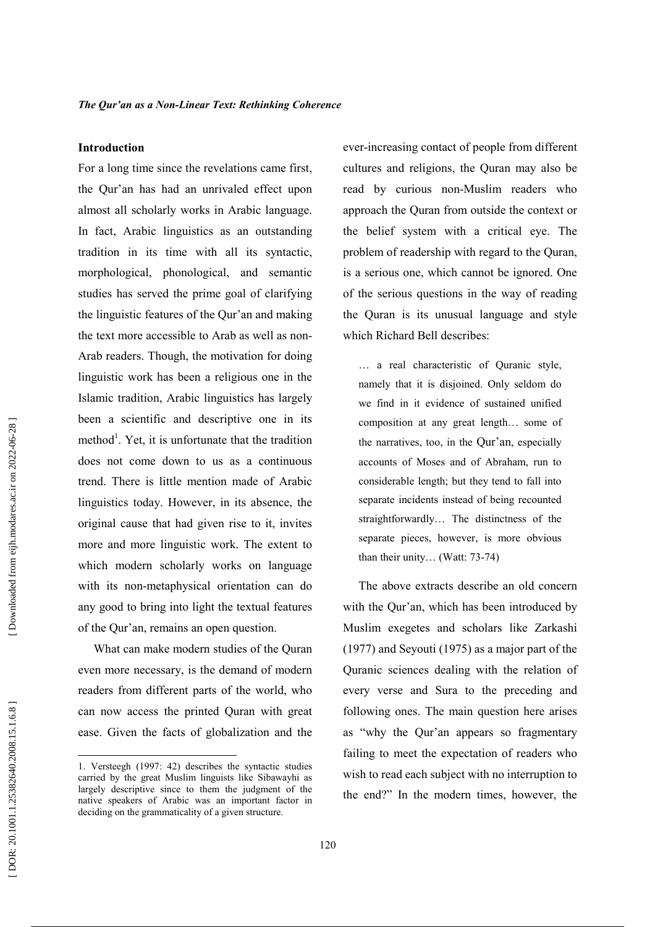### **Introduction**

For a long time since the revelations came first, the Qur'an has had an unrivaled effect upon almost all scholarly works in Arabic language. In fact, Arabic linguistics as an outstanding tradition in its time with all its syntactic, morphological, phonological, and semantic studies has served the prime goal of clarifying the linguistic features of the Our'an and making the text more accessible to Arab as well as non-Arab readers. Though, the motivation for doing linguistic work has been a religious one in the Islamic tradition, Arabic linguistics has largely been a scientific and descriptive one in its method<sup>1</sup>. Yet, it is unfortunate that the tradition does not come down to us as a continuous trend. There is little mention made of Arabic linguistics today. However, in its absence, the original cause that had given rise to it, invites more and more linguistic work. The extent to which modern scholarly works on language with its non-metaphysical orientation can do any good to bring into light the textual features of the Qur'an, remains an open question.

What can make modern studies of the Ouran even more necessary, is the demand of modern readers from different parts of the world, who can now access the printed Quran with great ease. Given the facts of globalization and the ever-increasing contact of people from different cultures and religions, the Quran may also be read by curious non-Muslim readers who approach the Quran from outside the context or the belief system with a critical eye. The problem of readership with regard to the Quran, is a serious one, which cannot be ignored. One of the serious questions in the way of reading the Ouran is its unusual language and style which Richard Bell describes:

... a real characteristic of Quranic style, namely that it is disjoined. Only seldom do we find in it evidence of sustained unified composition at any great length... some of the narratives, too, in the Our'an, especially accounts of Moses and of Abraham, run to considerable length; but they tend to fall into separate incidents instead of being recounted straightforwardly... The distinctness of the separate pieces, however, is more obvious than their unity... (Watt: 73-74)

The above extracts describe an old concern with the Qur'an, which has been introduced by Muslim exegetes and scholars like Zarkashi  $(1977)$  and Sevouti (1975) as a major part of the Quranic sciences dealing with the relation of every verse and Sura to the preceding and following ones. The main question here arises as "why the Qur'an appears so fragmentary failing to meet the expectation of readers who wish to read each subject with no interruption to the end?" In the modern times, however, the

<sup>1.</sup> Versteegh (1997: 42) describes the syntactic studies carried by the great Muslim linguists like Sibawayhi as largely descriptive since to them the judgment of the native speakers of Arabic was an important factor in deciding on the grammaticality of a given structure.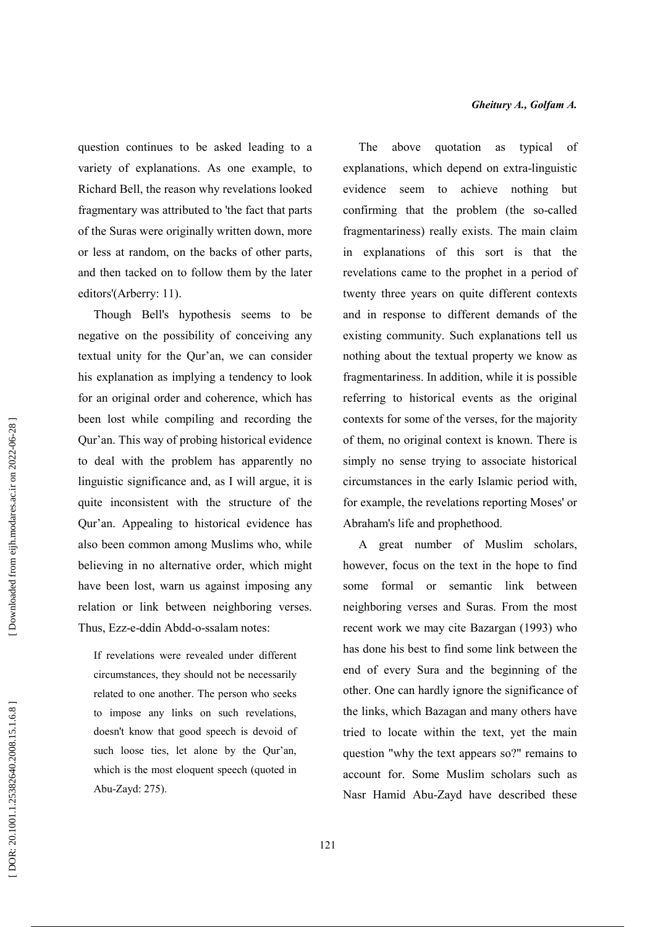question continues to be asked leading to a variety of explanations. As one example, to Richard Bell, the reason why revelations looked fragmentary was attributed to 'the fact that parts of the Suras were originally written down, more or less at random, on the backs of other parts, and then tacked on to follow them by the later editors'(Arberry: 11).

Though Bell's hypothesis seems to be negative on the possibility of conceiving any textual unity for the Qur'an, we can consider his explanation as implying a tendency to look for an original order and coherence, which has been lost while compiling and recording the Our'an. This way of probing historical evidence to deal with the problem has apparently no linguistic significance and, as I will argue, it is quite inconsistent with the structure of the Qur'an. Appealing to historical evidence has also been common among Muslims who, while believing in no alternative order, which might have been lost, warn us against imposing any relation or link between neighboring verses. Thus. Ezz-e-ddin Abdd-o-ssalam notes:

If revelations were revealed under different circumstances, they should not be necessarily related to one another. The person who seeks to impose any links on such revelations, doesn't know that good speech is devoid of such loose ties, let alone by the Qur'an, which is the most eloquent speech (quoted in Abu-Zayd: 275).

The above quotation as typical of explanations, which depend on extra-linguistic evidence seem to achieve nothing but confirming that the problem (the so-called fragmentariness) really exists. The main claim in explanations of this sort is that the revelations came to the prophet in a period of twenty three years on quite different contexts and in response to different demands of the existing community. Such explanations tell us nothing about the textual property we know as fragmentariness. In addition, while it is possible referring to historical events as the original contexts for some of the verses, for the majority of them, no original context is known. There is simply no sense trying to associate historical circumstances in the early Islamic period with, for example, the revelations reporting Moses' or Abraham's life and prophethood.

A great number of Muslim scholars, however, focus on the text in the hope to find some formal or semantic link between neighboring verses and Suras. From the most recent work we may cite Bazargan (1993) who has done his best to find some link between the end of every Sura and the beginning of the other. One can hardly ignore the significance of the links, which Bazagan and many others have tried to locate within the text, yet the main question "why the text appears so?" remains to account for. Some Muslim scholars such as Nasr Hamid Abu-Zayd have described these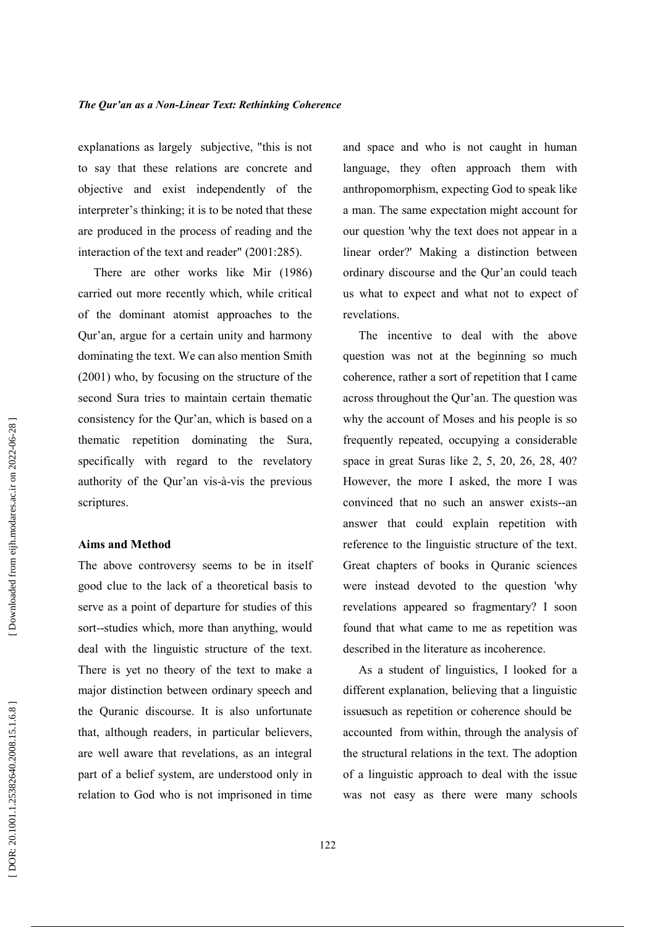explanations as largely subjective, "this is not to say that these relations are concrete and objective and exist independently of the interpreter's thinking; it is to be noted that these are produced in the process of reading and the interaction of the text and reader" (2001:285).

There are other works like Mir (1986) carried out more recently which, while critical of the dominant atomist approaches to the Qur'an, argue for a certain unity and harmony dominating the text. We can also mention Smith  $(2001)$  who, by focusing on the structure of the second Sura tries to maintain certain thematic consistency for the Qur'an, which is based on a thematic repetition dominating the Sura, specifically with regard to the revelatory authority of the Qur'an vis-à-vis the previous scriptures.

# **Aims and Method**

The above controversy seems to be in itself good clue to the lack of a theoretical basis to serve as a point of departure for studies of this sort--studies which, more than anything, would deal with the linguistic structure of the text. There is yet no theory of the text to make a major distinction between ordinary speech and the Quranic discourse. It is also unfortunate that, although readers, in particular believers, are well aware that revelations, as an integral part of a belief system, are understood only in relation to God who is not imprisoned in time

and space and who is not caught in human language, they often approach them with anthropomorphism, expecting God to speak like a man. The same expectation might account for our question 'why the text does not appear in a linear order?' Making a distinction between ordinary discourse and the Qur'an could teach us what to expect and what not to expect of revelations.

The incentive to deal with the above question was not at the beginning so much coherence, rather a sort of repetition that I came across throughout the Qur'an. The question was why the account of Moses and his people is so frequently repeated, occupying a considerable space in great Suras like 2, 5, 20, 26, 28, 40? However, the more I asked, the more I was convinced that no such an answer exists--an answer that could explain repetition with reference to the linguistic structure of the text. Great chapters of books in Quranic sciences were instead devoted to the question 'why revelations appeared so fragmentary? I soon found that what came to me as repetition was described in the literature as incoherence.

As a student of linguistics, I looked for a different explanation, believing that a linguistic issuesuch as repetition or coherence should be accounted from within, through the analysis of the structural relations in the text. The adoption of a linguistic approach to deal with the issue was not easy as there were many schools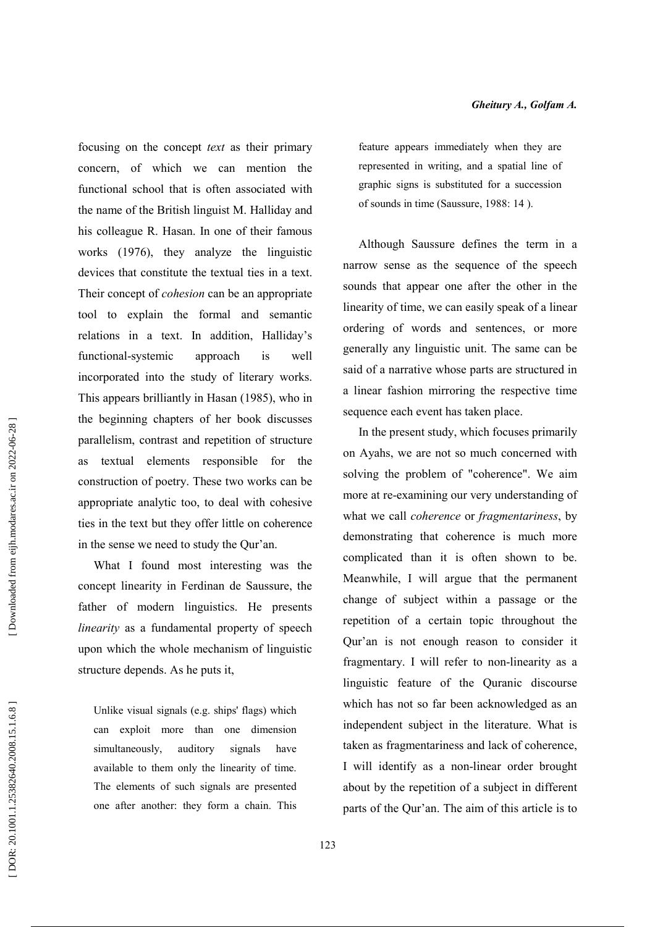focusing on the concept *text* as their primary concern, of which we can mention the functional school that is often associated with the name of the British linguist M. Halliday and his colleague R. Hasan. In one of their famous works (1976), they analyze the linguistic devices that constitute the textual ties in a text. Their concept of *cohesion* can be an appropriate tool to explain the formal and semantic relations in a text. In addition, Halliday's functional-systemic approach is well incorporated into the study of literary works. This appears brilliantly in Hasan (1985), who in the beginning chapters of her book discusses parallelism, contrast and repetition of structure as textual elements responsible for the construction of poetry. These two works can be appropriate analytic too, to deal with cohesive ties in the text but they offer little on coherence in the sense we need to study the Qur'an.

What I found most interesting was the concept linearity in Ferdinan de Saussure, the father of modern linguistics. He presents linearity as a fundamental property of speech upon which the whole mechanism of linguistic structure depends. As he puts it,

Unlike visual signals (e.g. ships' flags) which can exploit more than one dimension simultaneously. auditory signals have available to them only the linearity of time. The elements of such signals are presented one after another: they form a chain. This feature appears immediately when they are represented in writing, and a spatial line of graphic signs is substituted for a succession of sounds in time (Saussure, 1988: 14).

Although Saussure defines the term in a narrow sense as the sequence of the speech sounds that appear one after the other in the linearity of time, we can easily speak of a linear ordering of words and sentences, or more generally any linguistic unit. The same can be said of a narrative whose parts are structured in a linear fashion mirroring the respective time sequence each event has taken place.

In the present study, which focuses primarily on Ayahs, we are not so much concerned with solving the problem of "coherence". We aim more at re-examining our very understanding of what we call *coherence* or *fragmentariness*, by demonstrating that coherence is much more complicated than it is often shown to be. Meanwhile, I will argue that the permanent change of subject within a passage or the repetition of a certain topic throughout the Qur'an is not enough reason to consider it fragmentary. I will refer to non-linearity as a linguistic feature of the Quranic discourse which has not so far been acknowledged as an independent subject in the literature. What is taken as fragmentariness and lack of coherence, I will identify as a non-linear order brought about by the repetition of a subject in different parts of the Qur'an. The aim of this article is to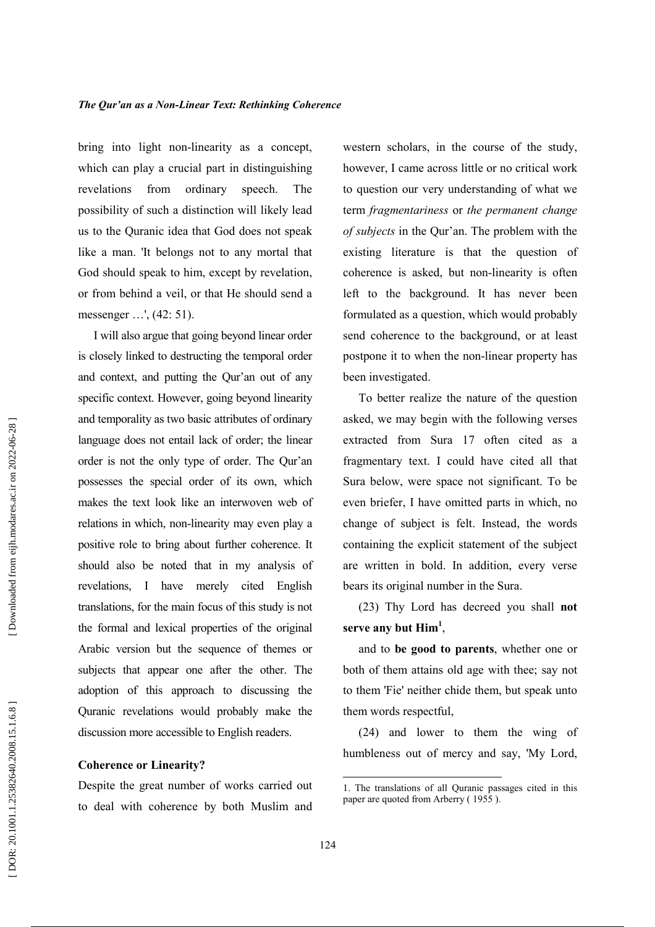bring into light non-linearity as a concept, which can play a crucial part in distinguishing revelations from ordinary speech. The possibility of such a distinction will likely lead us to the Quranic idea that God does not speak like a man. It belongs not to any mortal that God should speak to him, except by revelation, or from behind a veil, or that He should send a messenger ...', (42: 51).

I will also argue that going beyond linear order is closely linked to destructing the temporal order and context, and putting the Qur'an out of any specific context. However, going beyond linearity and temporality as two basic attributes of ordinary language does not entail lack of order; the linear order is not the only type of order. The Qur'an possesses the special order of its own, which makes the text look like an interwoven web of relations in which, non-linearity may even play a positive role to bring about further coherence. It should also be noted that in my analysis of revelations, I have merely cited English translations, for the main focus of this study is not the formal and lexical properties of the original Arabic version but the sequence of themes or subjects that appear one after the other. The adoption of this approach to discussing the Quranic revelations would probably make the discussion more accessible to English readers.

# **Coherence or Linearity?**

Despite the great number of works carried out to deal with coherence by both Muslim and western scholars, in the course of the study, however, I came across little or no critical work to question our very understanding of what we term fragmentariness or the permanent change of subjects in the Qur'an. The problem with the existing literature is that the question of coherence is asked, but non-linearity is often left to the background. It has never been formulated as a question, which would probably send coherence to the background, or at least postpone it to when the non-linear property has been investigated.

To better realize the nature of the question asked, we may begin with the following verses extracted from Sura 17 often cited as a fragmentary text. I could have cited all that Sura below, were space not significant. To be even briefer, I have omitted parts in which, no change of subject is felt. Instead, the words containing the explicit statement of the subject are written in bold. In addition, every verse bears its original number in the Sura.

(23) Thy Lord has decreed you shall not serve any but  $\text{Him}^1$ ,

and to be good to parents, whether one or both of them attains old age with thee; say not to them 'Fie' neither chide them, but speak unto them words respectful,

(24) and lower to them the wing of humbleness out of mercy and say, 'My Lord,

<sup>1.</sup> The translations of all Quranic passages cited in this paper are quoted from Arberry (1955).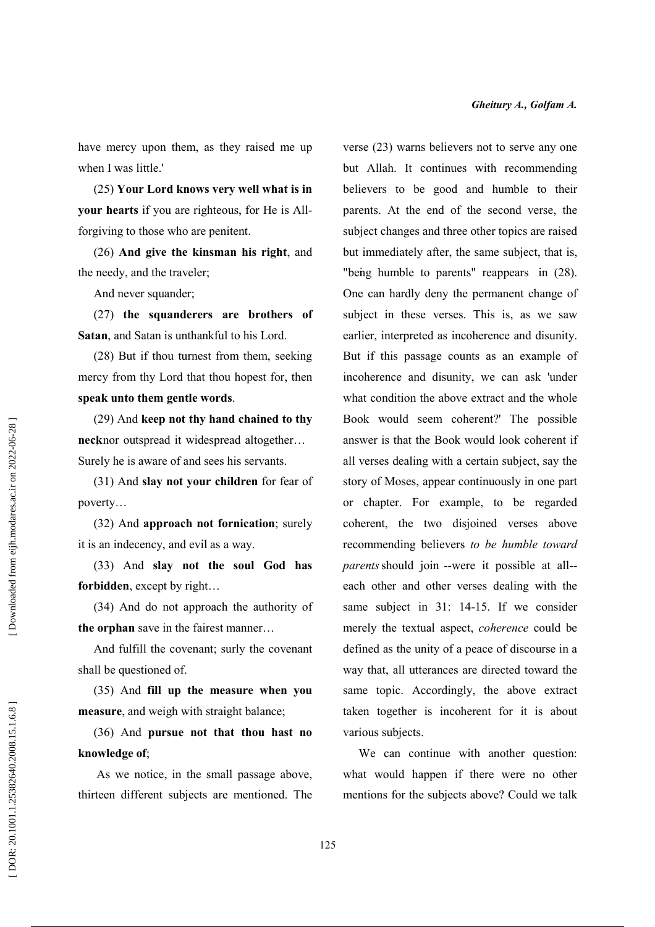have mercy upon them, as they raised me up when I was little.'

(25) Your Lord knows very well what is in your hearts if you are righteous, for He is Allforgiving to those who are penitent.

(26) And give the kinsman his right, and the needy, and the traveler;

And never squander;

(27) the squanderers are brothers of Satan, and Satan is unthankful to his Lord.

(28) But if thou turnest from them, seeking mercy from thy Lord that thou hopest for, then speak unto them gentle words.

(29) And keep not thy hand chained to thy necknor outspread it widespread altogether... Surely he is aware of and sees his servants.

(31) And slay not your children for fear of poverty...

(32) And approach not fornication; surely it is an indecency, and evil as a way.

(33) And slay not the soul God has forbidden, except by right...

(34) And do not approach the authority of the orphan save in the fairest manner...

And fulfill the covenant; surly the covenant shall be questioned of.

(35) And fill up the measure when you measure, and weigh with straight balance;

(36) And pursue not that thou hast no knowledge of:

As we notice, in the small passage above, thirteen different subjects are mentioned. The

verse (23) warns believers not to serve any one but Allah. It continues with recommending believers to be good and humble to their parents. At the end of the second verse, the subject changes and three other topics are raised but immediately after, the same subject, that is, "being humble to parents" reappears in (28). One can hardly deny the permanent change of subject in these verses. This is, as we saw earlier, interpreted as incoherence and disunity. But if this passage counts as an example of incoherence and disunity, we can ask 'under what condition the above extract and the whole Book would seem coherent?' The possible answer is that the Book would look coherent if all verses dealing with a certain subject, say the story of Moses, appear continuously in one part or chapter. For example, to be regarded coherent, the two disjoined verses above recommending believers to be humble toward *parents* should join --were it possible at all-each other and other verses dealing with the same subject in 31: 14-15. If we consider merely the textual aspect, *coherence* could be defined as the unity of a peace of discourse in a way that, all utterances are directed toward the same topic. Accordingly, the above extract taken together is incoherent for it is about various subjects.

We can continue with another question: what would happen if there were no other mentions for the subjects above? Could we talk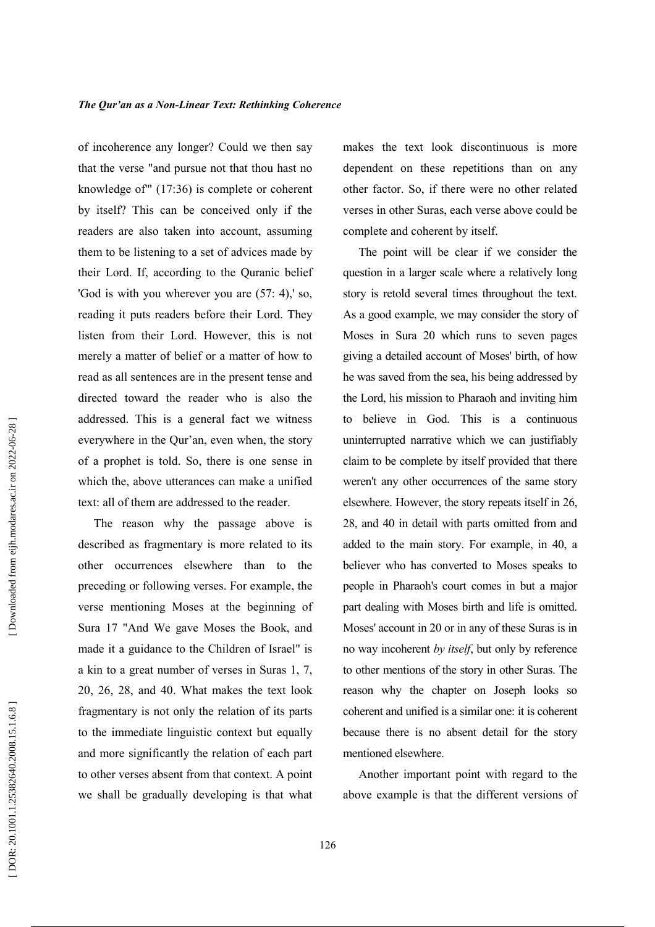of incoherence any longer? Could we then say that the verse "and pursue not that thou hast no knowledge of"  $(17:36)$  is complete or coherent by itself? This can be conceived only if the readers are also taken into account, assuming them to be listening to a set of advices made by their Lord. If, according to the Quranic belief 'God is with you wherever you are  $(57: 4)$ ,' so, reading it puts readers before their Lord. They listen from their Lord. However, this is not merely a matter of belief or a matter of how to read as all sentences are in the present tense and directed toward the reader who is also the addressed. This is a general fact we witness everywhere in the Our'an, even when, the story of a prophet is told. So, there is one sense in which the, above utterances can make a unified text: all of them are addressed to the reader.

The reason why the passage above is described as fragmentary is more related to its other occurrences elsewhere than to the preceding or following verses. For example, the verse mentioning Moses at the beginning of Sura 17 "And We gave Moses the Book, and made it a guidance to the Children of Israel" is a kin to a great number of verses in Suras 1, 7, 20, 26, 28, and 40. What makes the text look fragmentary is not only the relation of its parts to the immediate linguistic context but equally and more significantly the relation of each part to other verses absent from that context. A point we shall be gradually developing is that what

makes the text look discontinuous is more dependent on these repetitions than on any other factor. So, if there were no other related verses in other Suras, each verse above could be complete and coherent by itself.

The point will be clear if we consider the question in a larger scale where a relatively long story is retold several times throughout the text. As a good example, we may consider the story of Moses in Sura 20 which runs to seven pages giving a detailed account of Moses' birth, of how he was saved from the sea, his being addressed by the Lord, his mission to Pharaoh and inviting him to believe in God. This is a continuous uninterrupted narrative which we can justifiably claim to be complete by itself provided that there weren't any other occurrences of the same story elsewhere. However, the story repeats itself in 26, 28, and 40 in detail with parts omitted from and added to the main story. For example, in 40, a believer who has converted to Moses speaks to people in Pharaoh's court comes in but a major part dealing with Moses birth and life is omitted. Moses' account in 20 or in any of these Suras is in no way incoherent by *itself*, but only by reference to other mentions of the story in other Suras. The reason why the chapter on Joseph looks so coherent and unified is a similar one: it is coherent because there is no absent detail for the story mentioned elsewhere.

Another important point with regard to the above example is that the different versions of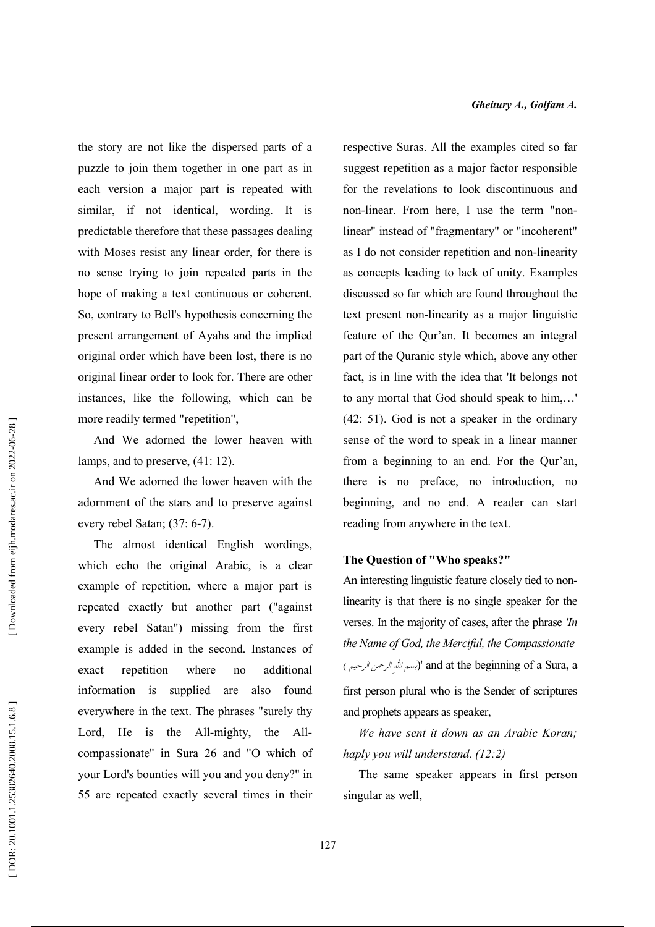the story are not like the dispersed parts of a puzzle to join them together in one part as in each version a major part is repeated with similar, if not identical, wording. It is predictable therefore that these passages dealing with Moses resist any linear order, for there is no sense trying to join repeated parts in the hope of making a text continuous or coherent. So, contrary to Bell's hypothesis concerning the present arrangement of Ayahs and the implied original order which have been lost, there is no original linear order to look for. There are other instances, like the following, which can be more readily termed "repetition",

And We adorned the lower heaven with lamps, and to preserve,  $(41:12)$ .

And We adorned the lower heaven with the adornment of the stars and to preserve against every rebel Satan; (37: 6-7).

The almost identical English wordings, which echo the original Arabic, is a clear example of repetition, where a major part is repeated exactly but another part ("against every rebel Satan") missing from the first example is added in the second. Instances of repetition where additional exact  $no$ information is supplied are also found everywhere in the text. The phrases "surely thy Lord, He is the All-mighty, the Allcompassionate" in Sura 26 and "O which of your Lord's bounties will you and you deny?" in 55 are repeated exactly several times in their respective Suras. All the examples cited so far suggest repetition as a major factor responsible for the revelations to look discontinuous and non-linear. From here, I use the term "nonlinear" instead of "fragmentary" or "incoherent" as I do not consider repetition and non-linearity as concepts leading to lack of unity. Examples discussed so far which are found throughout the text present non-linearity as a major linguistic feature of the Qur'an. It becomes an integral part of the Quranic style which, above any other fact, is in line with the idea that 'It belongs not to any mortal that God should speak to him,...'  $(42: 51)$ . God is not a speaker in the ordinary sense of the word to speak in a linear manner from a beginning to an end. For the Qur'an, there is no preface, no introduction, no beginning, and no end. A reader can start reading from anywhere in the text.

# The Question of "Who speaks?"

An interesting linguistic feature closely tied to nonlinearity is that there is no single speaker for the verses. In the majority of cases, after the phrase  $\eta$ the Name of God, the Merciful, the Compassionate and at the beginning of a Sura, a (بسه الله الرحمن الرحيم)' and at the beginning of a Sura, a first person plural who is the Sender of scriptures and prophets appears as speaker,

We have sent it down as an Arabic Koran; haply you will understand.  $(12:2)$ 

The same speaker appears in first person singular as well,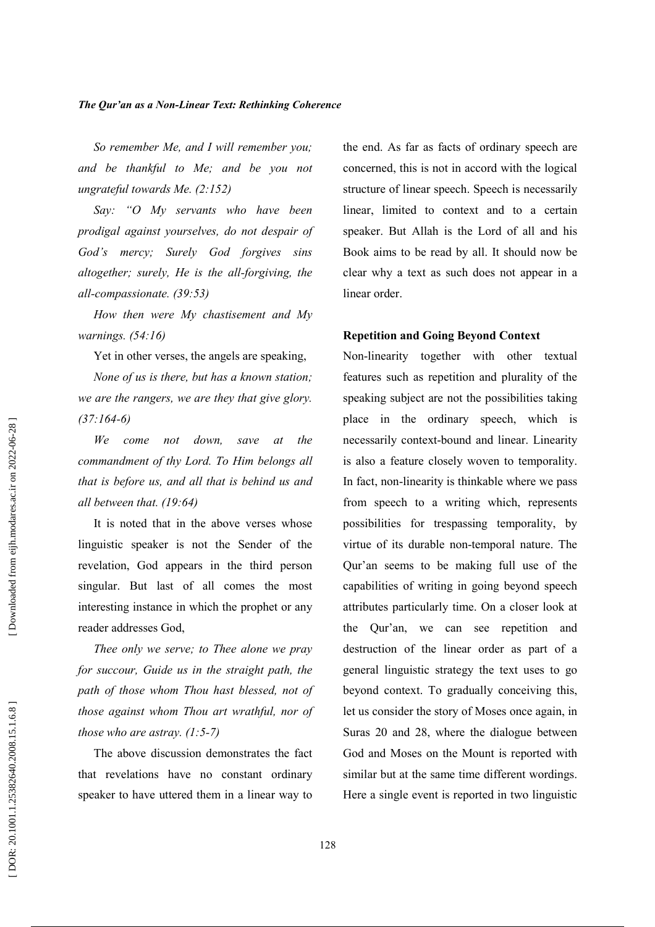So remember Me, and I will remember you; and be thankful to Me; and be you not ungrateful towards Me.  $(2:152)$ 

Say: "O My servants who have been prodigal against yourselves, do not despair of God's mercy; Surely God forgives sins altogether; surely, He is the all-forgiving, the all-compassionate. (39:53)

How then were My chastisement and My warnings.  $(54:16)$ 

Yet in other verses, the angels are speaking,

None of us is there, but has a known station; we are the rangers, we are they that give glory.  $(37:164-6)$ 

We come not down. save  $at$ the commandment of thy Lord. To Him belongs all that is before us, and all that is behind us and all between that.  $(19:64)$ 

It is noted that in the above verses whose linguistic speaker is not the Sender of the revelation, God appears in the third person singular. But last of all comes the most interesting instance in which the prophet or any reader addresses God,

Thee only we serve; to Thee alone we pray for succour, Guide us in the straight path, the path of those whom Thou hast blessed, not of those against whom Thou art wrathful, nor of those who are astray.  $(1:5-7)$ 

The above discussion demonstrates the fact that revelations have no constant ordinary speaker to have uttered them in a linear way to the end. As far as facts of ordinary speech are concerned, this is not in accord with the logical structure of linear speech. Speech is necessarily linear, limited to context and to a certain speaker. But Allah is the Lord of all and his Book aims to be read by all. It should now be clear why a text as such does not appear in a linear order.

# **Repetition and Going Beyond Context**

Non-linearity together with other textual features such as repetition and plurality of the speaking subject are not the possibilities taking place in the ordinary speech, which is necessarily context-bound and linear. Linearity is also a feature closely woven to temporality. In fact, non-linearity is thinkable where we pass from speech to a writing which, represents possibilities for trespassing temporality, by virtue of its durable non-temporal nature. The Qur'an seems to be making full use of the capabilities of writing in going beyond speech attributes particularly time. On a closer look at the Qur'an, we can see repetition and destruction of the linear order as part of a general linguistic strategy the text uses to go beyond context. To gradually conceiving this, let us consider the story of Moses once again, in Suras 20 and 28, where the dialogue between God and Moses on the Mount is reported with similar but at the same time different wordings. Here a single event is reported in two linguistic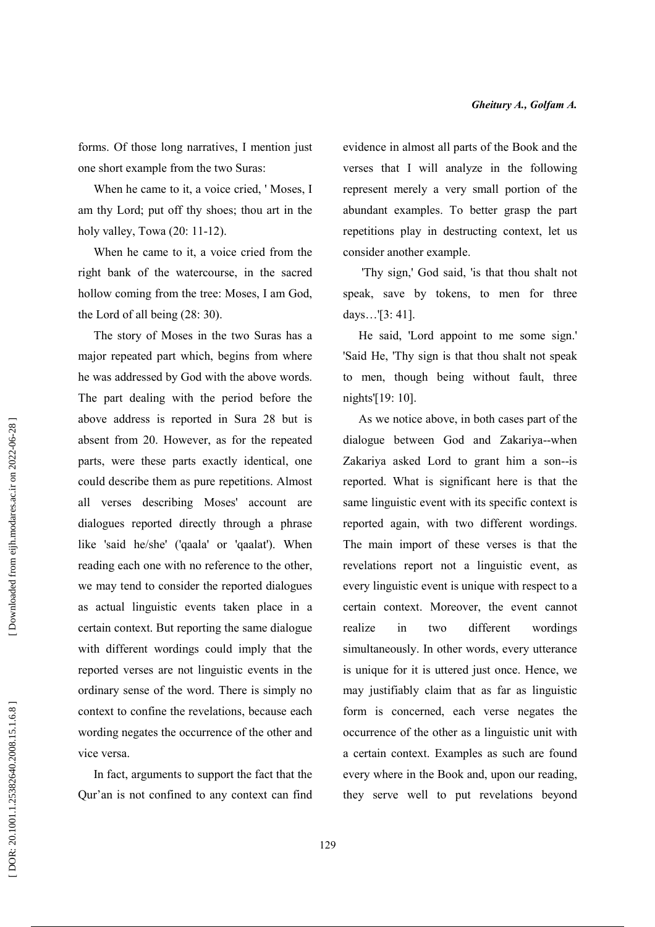forms. Of those long narratives, I mention just one short example from the two Suras:

When he came to it, a voice cried, 'Moses, I am thy Lord; put off thy shoes; thou art in the holy valley, Towa  $(20: 11-12)$ .

When he came to it, a voice cried from the right bank of the watercourse, in the sacred hollow coming from the tree: Moses, I am God, the Lord of all being  $(28:30)$ .

The story of Moses in the two Suras has a major repeated part which, begins from where he was addressed by God with the above words. The part dealing with the period before the above address is reported in Sura 28 but is absent from 20. However, as for the repeated parts, were these parts exactly identical, one could describe them as pure repetitions. Almost all verses describing Moses' account are dialogues reported directly through a phrase like 'said he/she' ('qaala' or 'qaalat'). When reading each one with no reference to the other. we may tend to consider the reported dialogues as actual linguistic events taken place in a certain context. But reporting the same dialogue with different wordings could imply that the reported verses are not linguistic events in the ordinary sense of the word. There is simply no context to confine the revelations, because each wording negates the occurrence of the other and vice versa.

In fact, arguments to support the fact that the Qur'an is not confined to any context can find evidence in almost all parts of the Book and the verses that I will analyze in the following represent merely a very small portion of the abundant examples. To better grasp the part repetitions play in destructing context, let us consider another example.

'Thy sign,' God said, 'is that thou shalt not speak, save by tokens, to men for three days...'[3: 41].

He said, 'Lord appoint to me some sign.' 'Said He, 'Thy sign is that thou shalt not speak to men, though being without fault, three nights'[19: 10].

As we notice above, in both cases part of the dialogue between God and Zakariya--when Zakariya asked Lord to grant him a son--is reported. What is significant here is that the same linguistic event with its specific context is reported again, with two different wordings. The main import of these verses is that the revelations report not a linguistic event, as every linguistic event is unique with respect to a certain context. Moreover, the event cannot realize different wordings in  $t w$ simultaneously. In other words, every utterance is unique for it is uttered just once. Hence, we may justifiably claim that as far as linguistic form is concerned, each verse negates the occurrence of the other as a linguistic unit with a certain context. Examples as such are found every where in the Book and, upon our reading, they serve well to put revelations beyond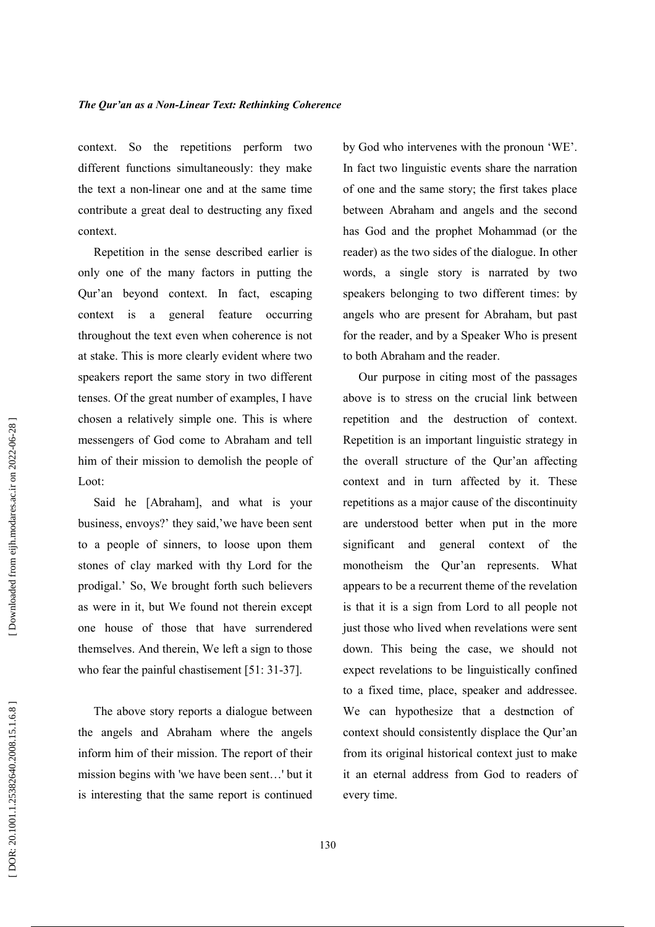context. So the repetitions perform two different functions simultaneously: they make the text a non-linear one and at the same time contribute a great deal to destructing any fixed context.

Repetition in the sense described earlier is only one of the many factors in putting the Qur'an beyond context. In fact, escaping context is a general feature occurring throughout the text even when coherence is not at stake. This is more clearly evident where two speakers report the same story in two different tenses. Of the great number of examples, I have chosen a relatively simple one. This is where messengers of God come to Abraham and tell him of their mission to demolish the people of Loot:

Said he [Abraham], and what is your business, envoys?' they said, 'we have been sent to a people of sinners, to loose upon them stones of clay marked with thy Lord for the prodigal.' So, We brought forth such believers as were in it, but We found not therein except one house of those that have surrendered themselves. And therein, We left a sign to those who fear the painful chastisement [51: 31-37].

The above story reports a dialogue between the angels and Abraham where the angels inform him of their mission. The report of their mission begins with 'we have been sent...' but it is interesting that the same report is continued by God who intervenes with the pronoun 'WE'. In fact two linguistic events share the narration of one and the same story; the first takes place between Abraham and angels and the second has God and the prophet Mohammad (or the reader) as the two sides of the dialogue. In other words, a single story is narrated by two speakers belonging to two different times: by angels who are present for Abraham, but past for the reader, and by a Speaker Who is present to both Abraham and the reader.

Our purpose in citing most of the passages above is to stress on the crucial link between repetition and the destruction of context. Repetition is an important linguistic strategy in the overall structure of the Qur'an affecting context and in turn affected by it. These repetitions as a major cause of the discontinuity are understood better when put in the more significant and general context of the monotheism the Qur'an represents. What appears to be a recurrent theme of the revelation is that it is a sign from Lord to all people not just those who lived when revelations were sent down. This being the case, we should not expect revelations to be linguistically confined to a fixed time, place, speaker and addressee. We can hypothesize that a destruction of context should consistently displace the Qur'an from its original historical context just to make it an eternal address from God to readers of every time.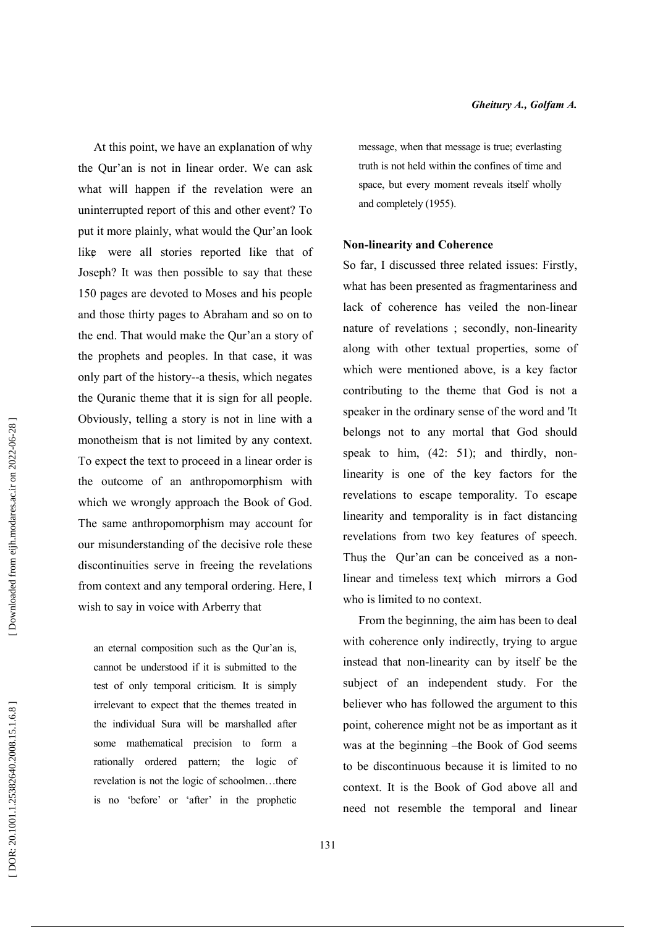At this point, we have an explanation of why the Qur'an is not in linear order. We can ask what will happen if the revelation were an uninterrupted report of this and other event? To put it more plainly, what would the Qur'an look like were all stories reported like that of Joseph? It was then possible to say that these 150 pages are devoted to Moses and his people and those thirty pages to Abraham and so on to the end. That would make the Qur'an a story of the prophets and peoples. In that case, it was only part of the history--a thesis, which negates the Quranic theme that it is sign for all people. Obviously, telling a story is not in line with a monotheism that is not limited by any context. To expect the text to proceed in a linear order is the outcome of an anthropomorphism with which we wrongly approach the Book of God. The same anthropomorphism may account for our misunderstanding of the decisive role these discontinuities serve in freeing the revelations from context and any temporal ordering. Here, I wish to say in voice with Arberry that

an eternal composition such as the Qur'an is, cannot be understood if it is submitted to the test of only temporal criticism. It is simply irrelevant to expect that the themes treated in the individual Sura will be marshalled after some mathematical precision to form a rationally ordered pattern; the logic of revelation is not the logic of schoolmen...there is no 'before' or 'after' in the prophetic

message, when that message is true; everlasting truth is not held within the confines of time and space, but every moment reveals itself wholly and completely (1955).

#### **Non-linearity and Coherence**

So far, I discussed three related issues: Firstly, what has been presented as fragmentariness and lack of coherence has veiled the non-linear nature of revelations; secondly, non-linearity along with other textual properties, some of which were mentioned above, is a key factor contributing to the theme that God is not a speaker in the ordinary sense of the word and 'It belongs not to any mortal that God should speak to him,  $(42: 51)$ ; and thirdly, nonlinearity is one of the key factors for the revelations to escape temporality. To escape linearity and temporality is in fact distancing revelations from two key features of speech. Thus the Qur'an can be conceived as a nonlinear and timeless text which mirrors a God who is limited to no context.

From the beginning, the aim has been to deal with coherence only indirectly, trying to argue instead that non-linearity can by itself be the subject of an independent study. For the believer who has followed the argument to this point, coherence might not be as important as it was at the beginning -the Book of God seems to be discontinuous because it is limited to no context. It is the Book of God above all and need not resemble the temporal and linear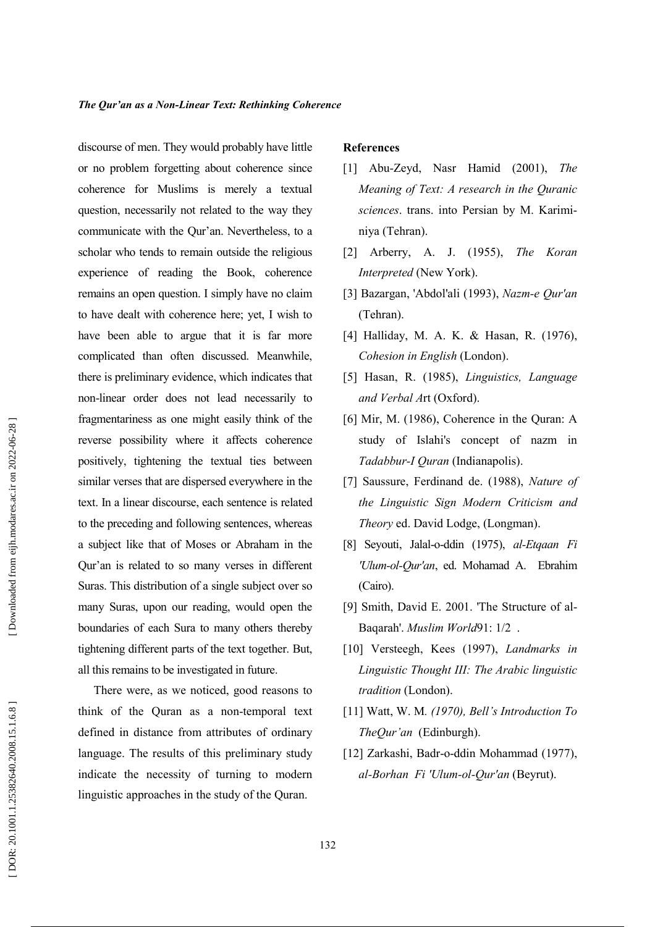discourse of men. They would probably have little or no problem forgetting about coherence since coherence for Muslims is merely a textual question, necessarily not related to the way they communicate with the Qur'an. Nevertheless, to a scholar who tends to remain outside the religious experience of reading the Book, coherence remains an open question. I simply have no claim to have dealt with coherence here; yet, I wish to have been able to argue that it is far more complicated than often discussed. Meanwhile, there is preliminary evidence, which indicates that non-linear order does not lead necessarily to fragmentariness as one might easily think of the reverse possibility where it affects coherence positively, tightening the textual ties between similar verses that are dispersed everywhere in the text. In a linear discourse, each sentence is related to the preceding and following sentences, whereas a subject like that of Moses or Abraham in the Qur'an is related to so many verses in different Suras. This distribution of a single subject over so many Suras, upon our reading, would open the boundaries of each Sura to many others thereby tightening different parts of the text together. But, all this remains to be investigated in future.

There were, as we noticed, good reasons to think of the Quran as a non-temporal text defined in distance from attributes of ordinary language. The results of this preliminary study indicate the necessity of turning to modern linguistic approaches in the study of the Quran.

#### **References**

- [1] Abu-Zeyd, Nasr Hamid (2001), The Meaning of Text: A research in the Quranic sciences. trans. into Persian by M. Kariminiya (Tehran).
- [2] Arberry, A. J.  $(1955)$ , The Koran Interpreted (New York).
- [3] Bazargan, 'Abdol'ali (1993), Nazm-e Qur'an (Tehran).
- [4] Halliday, M. A. K. & Hasan, R. (1976), Cohesion in English (London).
- [5] Hasan, R. (1985), Linguistics, Language and Verbal Art (Oxford).
- [6] Mir, M. (1986), Coherence in the Quran: A study of Islahi's concept of nazm in Tadabbur-I Quran (Indianapolis).
- [7] Saussure, Ferdinand de. (1988), Nature of the Linguistic Sign Modern Criticism and Theory ed. David Lodge, (Longman).
- [8] Seyouti, Jalal-o-ddin (1975), al-Etqaan Fi 'Ulum-ol-Qur'an, ed. Mohamad A. Ebrahim (Cairo).
- [9] Smith, David E. 2001. 'The Structure of al-Baqarah'. Muslim World91: 1/2.
- [10] Versteegh, Kees (1997), Landmarks in Linguistic Thought III: The Arabic linguistic tradition (London).
- [11] Watt, W. M.  $(1970)$ , Bell's Introduction To TheOur'an (Edinburgh).
- [12] Zarkashi, Badr-o-ddin Mohammad (1977). al-Borhan Fi 'Ulum-ol-Qur'an (Beyrut).

132